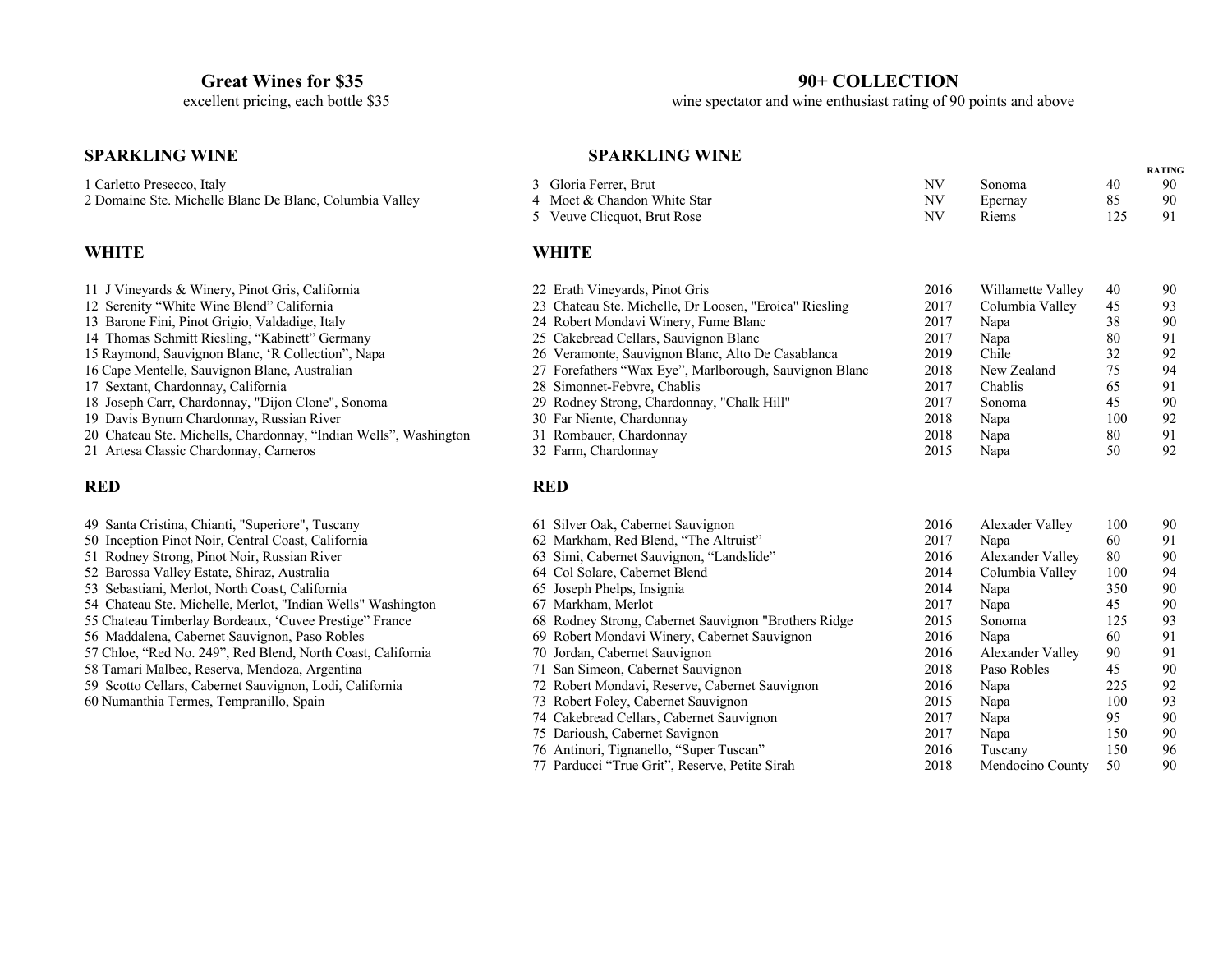# **SPARKLING WINE RATING SPARKLING WINE RATING**

#### **WHITE**

| 11 J Vineyards & Winery, Pinot Gris, California                  |
|------------------------------------------------------------------|
| 12 Serenity "White Wine Blend" California                        |
| 13 Barone Fini, Pinot Grigio, Valdadige, Italy                   |
| 14 Thomas Schmitt Riesling, "Kabinett" Germany                   |
| 15 Raymond, Sauvignon Blanc, 'R Collection'', Napa               |
| 16 Cape Mentelle, Sauvignon Blanc, Australian                    |
| 17 Sextant, Chardonnay, California                               |
| 18 Joseph Carr, Chardonnay, "Dijon Clone", Sonoma                |
| 19 Davis Bynum Chardonnay, Russian River                         |
| 20 Chateau Ste. Michells, Chardonnay, "Indian Wells", Washington |
| 21 Artesa Classic Chardonnay, Carneros                           |
|                                                                  |

| 49 Santa Cristina, Chianti, "Superiore", Tuscany           |
|------------------------------------------------------------|
|                                                            |
| 50 Inception Pinot Noir, Central Coast, California         |
| 51 Rodney Strong, Pinot Noir, Russian River                |
| 52 Barossa Valley Estate, Shiraz, Australia                |
| 53 Sebastiani, Merlot, North Coast, California             |
| 54 Chateau Ste. Michelle, Merlot, "Indian Wells" Washingto |
| 55 Chateau Timberlay Bordeaux, 'Cuvee Prestige'' France    |
| 56 Maddalena, Cabernet Sauvignon, Paso Robles              |
| 57 Chloe, "Red No. 249", Red Blend, North Coast, Californi |
| 58 Tamari Malbec, Reserva, Mendoza, Argentina              |
| 59 Scotto Cellars, Cabernet Sauvignon, Lodi, California    |
| 60 Numanthia Termes, Tempranillo, Spain                    |
|                                                            |
|                                                            |

**Great Wines for \$35**<br>excellent pricing, each bottle \$35 90+ COLLECTION<br>wine spectator and wine enthusiast rating of 90 wine spectator and wine enthusiast rating of 90 points and above

| 1 Carletto Presecco, Italy                                       | 3 Gloria Ferrer, Brut                                  | NV        | Sonoma            | 40  | 90 |
|------------------------------------------------------------------|--------------------------------------------------------|-----------|-------------------|-----|----|
| 2 Domaine Ste. Michelle Blanc De Blanc, Columbia Valley          | 4 Moet & Chandon White Star                            | <b>NV</b> | Epernay           | 85  | 90 |
|                                                                  | 5 Veuve Clicquot, Brut Rose                            | <b>NV</b> | Riems             | 125 | 91 |
| WHITE                                                            | <b>WHITE</b>                                           |           |                   |     |    |
| 11 J Vineyards & Winery, Pinot Gris, California                  | 22 Erath Vineyards, Pinot Gris                         | 2016      | Willamette Valley | 40  | 90 |
| 12 Serenity "White Wine Blend" California                        | 23 Chateau Ste. Michelle, Dr Loosen, "Eroica" Riesling | 2017      | Columbia Valley   | 45  | 93 |
| 13 Barone Fini, Pinot Grigio, Valdadige, Italy                   | 24 Robert Mondavi Winery, Fume Blanc                   | 2017      | Napa              | 38  | 90 |
| 14 Thomas Schmitt Riesling, "Kabinett" Germany                   | 25 Cakebread Cellars, Sauvignon Blanc                  | 2017      | Napa              | 80  | 91 |
| 15 Raymond, Sauvignon Blanc, 'R Collection'', Napa               | 26 Veramonte, Sauvignon Blanc, Alto De Casablanca      | 2019      | Chile             | 32  | 92 |
| 16 Cape Mentelle, Sauvignon Blanc, Australian                    | 27 Forefathers "Wax Eye", Marlborough, Sauvignon Blanc | 2018      | New Zealand       | 75  | 94 |
| 17 Sextant, Chardonnay, California                               | 28 Simonnet-Febvre, Chablis                            | 2017      | Chablis           | 65  | 91 |
| 18 Joseph Carr, Chardonnay, "Dijon Clone", Sonoma                | 29 Rodney Strong, Chardonnay, "Chalk Hill"             | 2017      | Sonoma            | 45  | 90 |
| 19 Davis Bynum Chardonnay, Russian River                         | 30 Far Niente, Chardonnay                              | 2018      | Napa              | 100 | 92 |
| 20 Chateau Ste. Michells, Chardonnay, "Indian Wells", Washington | 31 Rombauer, Chardonnay                                | 2018      | Napa              | 80  | 91 |
| 21 Artesa Classic Chardonnay, Carneros                           | 32 Farm, Chardonnay                                    | 2015      | Napa              | 50  | 92 |
|                                                                  |                                                        |           |                   |     |    |

#### **RED RED**

| 49 Santa Cristina, Chianti, "Superiore", Tuscany            | 61 Silver Oak, Cabernet Sauvignon                     | 2016 | Alexader Valley  | 100 | 90 |
|-------------------------------------------------------------|-------------------------------------------------------|------|------------------|-----|----|
| 50 Inception Pinot Noir, Central Coast, California          | 62 Markham, Red Blend, "The Altruist"                 | 2017 | Napa             | 60  | 91 |
| 51 Rodney Strong, Pinot Noir, Russian River                 | 63 Simi, Cabernet Sauvignon, "Landslide"              | 2016 | Alexander Valley | 80  | 90 |
| 52 Barossa Valley Estate, Shiraz, Australia                 | 64 Col Solare, Cabernet Blend                         | 2014 | Columbia Valley  | 100 | 94 |
| 53 Sebastiani, Merlot, North Coast, California              | 65 Joseph Phelps, Insignia                            | 2014 | Napa             | 350 | 90 |
| 54 Chateau Ste. Michelle, Merlot, "Indian Wells" Washington | 67 Markham, Merlot                                    | 2017 | Napa             | 45  | 90 |
| 55 Chateau Timberlay Bordeaux, 'Cuvee Prestige'' France     | 68 Rodney Strong, Cabernet Sauvignon "Brothers Ridge" | 2015 | Sonoma           | 125 | 93 |
| 56 Maddalena, Cabernet Sauvignon, Paso Robles               | 69 Robert Mondavi Winery, Cabernet Sauvignon          | 2016 | Napa             | 60  | 91 |
| 57 Chloe, "Red No. 249", Red Blend, North Coast, California | 70 Jordan, Cabernet Sauvignon                         | 2016 | Alexander Valley | 90  | 91 |
| 58 Tamari Malbec, Reserva, Mendoza, Argentina               | 71 San Simeon, Cabernet Sauvignon                     | 2018 | Paso Robles      | 45  | 90 |
| 59 Scotto Cellars, Cabernet Sauvignon, Lodi, California     | 72 Robert Mondavi, Reserve, Cabernet Sauvignon        | 2016 | Napa             | 225 | 92 |
| 60 Numanthia Termes, Tempranillo, Spain                     | 73 Robert Foley, Cabernet Sauvignon                   | 2015 | Napa             | 100 | 93 |
|                                                             | 74 Cakebread Cellars, Cabernet Sauvignon              | 2017 | Napa             | 95  | 90 |
|                                                             | 75 Darioush, Cabernet Savignon                        | 2017 | Napa             | 150 | 90 |
|                                                             | 76 Antinori, Tignanello, "Super Tuscan"               | 2016 | Tuscany          | 150 | 96 |
|                                                             | 77 Parducci "True Grit", Reserve, Petite Sirah        | 2018 | Mendocino County | 50  | 90 |
|                                                             |                                                       |      |                  |     |    |